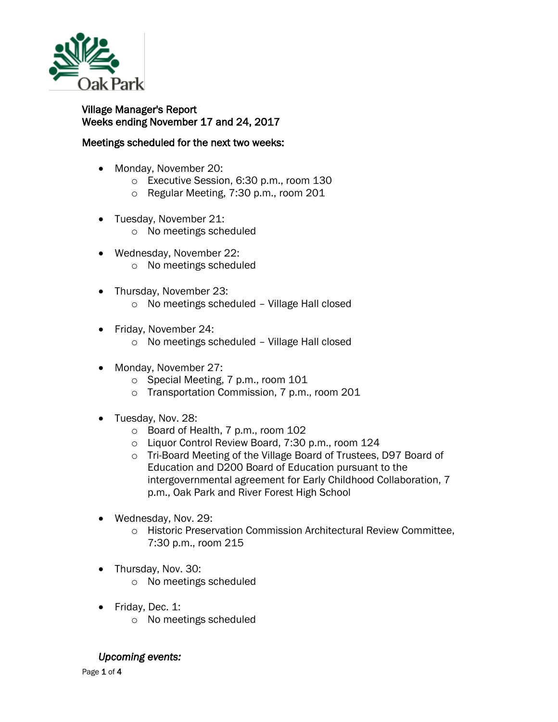

Village Manager's Report Weeks ending November 17 and 24, 2017

## Meetings scheduled for the next two weeks:

- Monday, November 20:
	- o Executive Session, 6:30 p.m., room 130
	- o Regular Meeting, 7:30 p.m., room 201
- Tuesday, November 21:
	- o No meetings scheduled
- Wednesday, November 22: o No meetings scheduled
- Thursday, November 23:
	- o No meetings scheduled Village Hall closed
- Friday, November 24:
	- o No meetings scheduled Village Hall closed
- Monday, November 27:
	- o Special Meeting, 7 p.m., room 101
	- o Transportation Commission, 7 p.m., room 201
- Tuesday, Nov. 28:
	- o Board of Health, 7 p.m., room 102
	- o Liquor Control Review Board, 7:30 p.m., room 124
	- o Tri-Board Meeting of the Village Board of Trustees, D97 Board of Education and D200 Board of Education pursuant to the intergovernmental agreement for Early Childhood Collaboration, 7 p.m., Oak Park and River Forest High School
- Wednesday, Nov. 29:
	- o Historic Preservation Commission Architectural Review Committee, 7:30 p.m., room 215
- Thursday, Nov. 30:
	- o No meetings scheduled
- Friday, Dec. 1:
	- o No meetings scheduled

*Upcoming events:* 

Page 1 of 4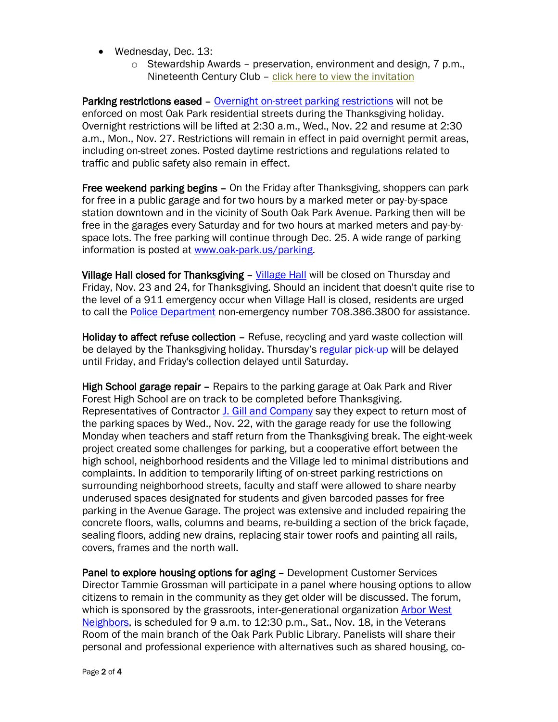- Wednesday, Dec. 13:
	- o Stewardship Awards preservation, environment and design, 7 p.m., Nineteenth Century Club – [click here to view the invitation](http://www.oak-park.us/sites/default/files/456678891/2017-property-stewardship-awards-invitation.pdf)

Parking restrictions eased – [Overnight on-street parking restrictions](http://www.oak-park.us/village-services/parking/parking-guidelines-restrictions) will not be enforced on most Oak Park residential streets during the Thanksgiving holiday. Overnight restrictions will be lifted at 2:30 a.m., Wed., Nov. 22 and resume at 2:30 a.m., Mon., Nov. 27. Restrictions will remain in effect in paid overnight permit areas, including on-street zones. Posted daytime restrictions and regulations related to traffic and public safety also remain in effect.

Free weekend parking begins – On the Friday after Thanksgiving, shoppers can park for free in a public garage and for two hours by a marked meter or pay-by-space station downtown and in the vicinity of South Oak Park Avenue. Parking then will be free in the garages every Saturday and for two hours at marked meters and pay-byspace lots. The free parking will continue through Dec. 25. A wide range of parking information is posted at [www.oak-park.us/parking.](http://www.oak-park.us/parking)

Village Hall closed for Thanksgiving – [Village Hall](http://www.oak-park.us/your-government/village-manager/village-hall) will be closed on Thursday and Friday, Nov. 23 and 24, for Thanksgiving. Should an incident that doesn't quite rise to the level of a 911 emergency occur when Village Hall is closed, residents are urged to call the [Police Department](http://www.oak-park.us/village-services/police-department) non-emergency number 708.386.3800 for assistance.

Holiday to affect refuse collection – Refuse, recycling and yard waste collection will be delayed by the Thanksgiving holiday. Thursday's [regular pick-up](http://www.oak-park.us/village-services/refuse-recycling) will be delayed until Friday, and Friday's collection delayed until Saturday.

High School garage repair - Repairs to the parking garage at Oak Park and River Forest High School are on track to be completed before Thanksgiving. Representatives of Contractor [J. Gill and Company](http://www.jgillandcompany.com/) say they expect to return most of the parking spaces by Wed., Nov. 22, with the garage ready for use the following Monday when teachers and staff return from the Thanksgiving break. The eight-week project created some challenges for parking, but a cooperative effort between the high school, neighborhood residents and the Village led to minimal distributions and complaints. In addition to temporarily lifting of on-street parking restrictions on surrounding neighborhood streets, faculty and staff were allowed to share nearby underused spaces designated for students and given barcoded passes for free parking in the Avenue Garage. The project was extensive and included repairing the concrete floors, walls, columns and beams, re-building a section of the brick façade, sealing floors, adding new drains, replacing stair tower roofs and painting all rails, covers, frames and the north wall.

Panel to explore housing options for aging – Development Customer Services Director Tammie Grossman will participate in a panel where housing options to allow citizens to remain in the community as they get older will be discussed. The forum, which is sponsored by the grassroots, inter-generational organization [Arbor West](https://www.arborwestneighbors.org/)  [Neighbors,](https://www.arborwestneighbors.org/) is scheduled for 9 a.m. to 12:30 p.m., Sat., Nov. 18, in the Veterans Room of the main branch of the Oak Park Public Library. Panelists will share their personal and professional experience with alternatives such as shared housing, co-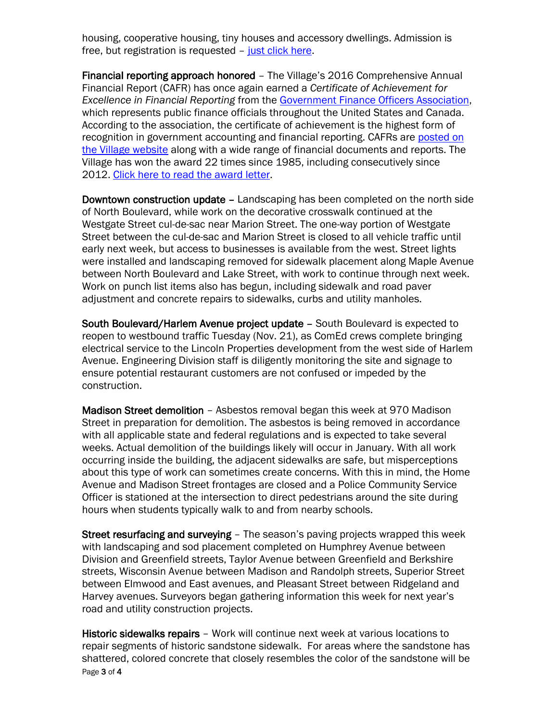housing, cooperative housing, tiny houses and accessory dwellings. Admission is free, but registration is requested – [just click here.](https://www.eventbrite.com/e/creating-and-recreating-home-options-for-aging-in-community-registration-39235287802?ref=enivtefor001)

Financial reporting approach honored – The Village's 2016 Comprehensive Annual Financial Report (CAFR) has once again earned a *Certificate of Achievement for Excellence in Financial Reporting* from the [Government Finance Officers Association,](http://www.gfoa.org/about-gfoa) which represents public finance officials throughout the United States and Canada. According to the association, the certificate of achievement is the highest form of recognition in government accounting and financial reporting. CAFRs are [posted on](http://www.oak-park.us/your-government/budget-purchasing/financial-reports)  [the Village website](http://www.oak-park.us/your-government/budget-purchasing/financial-reports) along with a wide range of financial documents and reports. The Village has won the award 22 times since 1985, including consecutively since 2012. [Click here to read the award letter.](http://www.oak-park.us/sites/default/files/456678891/2017-cafr-award-letter.pdf)

Downtown construction update – Landscaping has been completed on the north side of North Boulevard, while work on the decorative crosswalk continued at the Westgate Street cul-de-sac near Marion Street. The one-way portion of Westgate Street between the cul-de-sac and Marion Street is closed to all vehicle traffic until early next week, but access to businesses is available from the west. Street lights were installed and landscaping removed for sidewalk placement along Maple Avenue between North Boulevard and Lake Street, with work to continue through next week. Work on punch list items also has begun, including sidewalk and road paver adjustment and concrete repairs to sidewalks, curbs and utility manholes.

South Boulevard/Harlem Avenue project update – South Boulevard is expected to reopen to westbound traffic Tuesday (Nov. 21), as ComEd crews complete bringing electrical service to the Lincoln Properties development from the west side of Harlem Avenue. Engineering Division staff is diligently monitoring the site and signage to ensure potential restaurant customers are not confused or impeded by the construction.

Madison Street demolition - Asbestos removal began this week at 970 Madison Street in preparation for demolition. The asbestos is being removed in accordance with all applicable state and federal regulations and is expected to take several weeks. Actual demolition of the buildings likely will occur in January. With all work occurring inside the building, the adjacent sidewalks are safe, but misperceptions about this type of work can sometimes create concerns. With this in mind, the Home Avenue and Madison Street frontages are closed and a Police Community Service Officer is stationed at the intersection to direct pedestrians around the site during hours when students typically walk to and from nearby schools.

Street resurfacing and surveying – The season's paving projects wrapped this week with landscaping and sod placement completed on Humphrey Avenue between Division and Greenfield streets, Taylor Avenue between Greenfield and Berkshire streets, Wisconsin Avenue between Madison and Randolph streets, Superior Street between Elmwood and East avenues, and Pleasant Street between Ridgeland and Harvey avenues. Surveyors began gathering information this week for next year's road and utility construction projects.

Page 3 of 4 Historic sidewalks repairs – Work will continue next week at various locations to repair segments of historic sandstone sidewalk. For areas where the sandstone has shattered, colored concrete that closely resembles the color of the sandstone will be